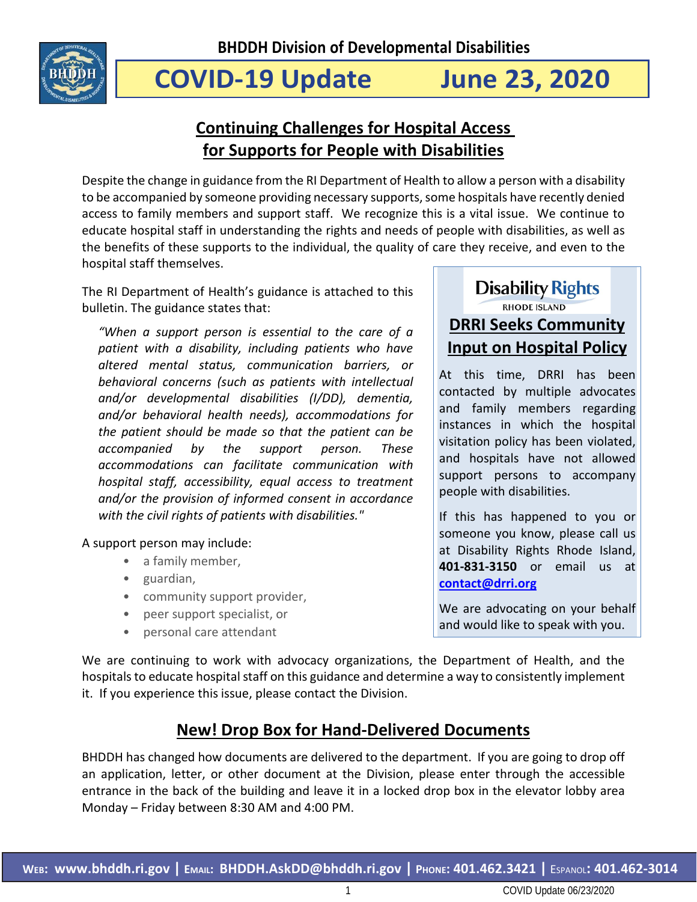

# **COVID-19 Update June 23, 2020**

# **Continuing Challenges for Hospital Access for Supports for People with Disabilities**

Despite the change in guidance from the RI Department of Health to allow a person with a disability to be accompanied by someone providing necessary supports, some hospitals have recently denied access to family members and support staff. We recognize this is a vital issue. We continue to educate hospital staff in understanding the rights and needs of people with disabilities, as well as the benefits of these supports to the individual, the quality of care they receive, and even to the hospital staff themselves.

The RI Department of Health's guidance is attached to this bulletin. The guidance states that:

*"When a support person is essential to the care of a patient with a disability, including patients who have altered mental status, communication barriers, or behavioral concerns (such as patients with intellectual and/or developmental disabilities (I/DD), dementia, and/or behavioral health needs), accommodations for the patient should be made so that the patient can be accompanied by the support person. These accommodations can facilitate communication with hospital staff, accessibility, equal access to treatment and/or the provision of informed consent in accordance with the civil rights of patients with disabilities."*

A support person may include:

- a family member,
- guardian,
- community support provider,
- peer support specialist, or
- personal care attendant

**Disability Rights RHODE ISLAND DRRI Seeks Community Input on Hospital Policy**

At this time, DRRI has been contacted by multiple advocates and family members regarding instances in which the hospital visitation policy has been violated, and hospitals have not allowed support persons to accompany people with disabilities.

If this has happened to you or someone you know, please call us at Disability Rights Rhode Island, **401-831-3150** or email us at **[contact@drri.org](mailto:contact@drri.org)**

We are advocating on your behalf and would like to speak with you.

We are continuing to work with advocacy organizations, the Department of Health, and the hospitals to educate hospital staff on this guidance and determine a way to consistently implement it. If you experience this issue, please contact the Division.

# **New! Drop Box for Hand-Delivered Documents**

BHDDH has changed how documents are delivered to the department. If you are going to drop off an application, letter, or other document at the Division, please enter through the accessible entrance in the back of the building and leave it in a locked drop box in the elevator lobby area Monday – Friday between 8:30 AM and 4:00 PM.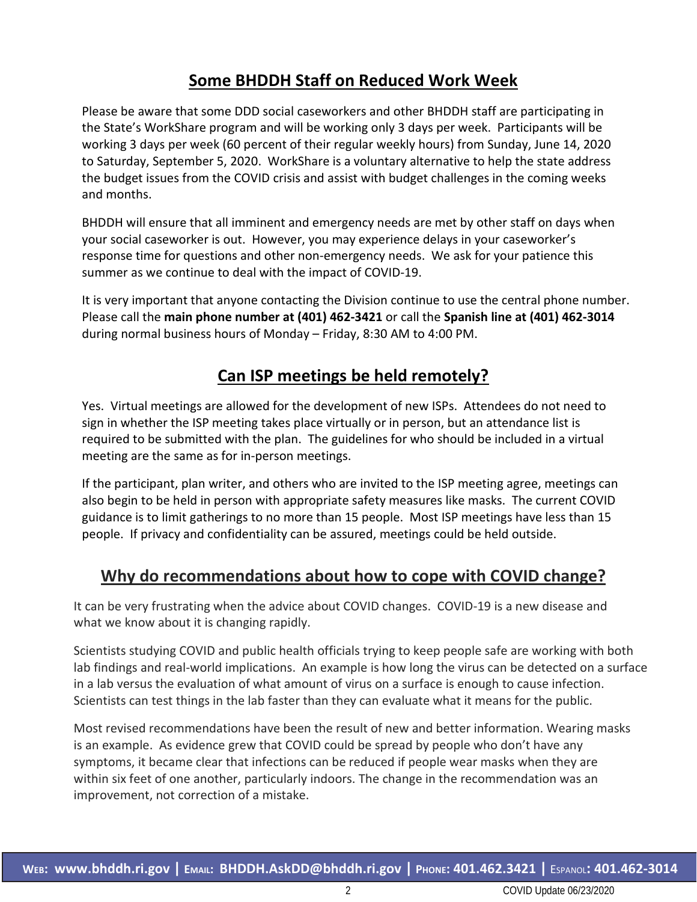# **Some BHDDH Staff on Reduced Work Week**

Please be aware that some DDD social caseworkers and other BHDDH staff are participating in the State's WorkShare program and will be working only 3 days per week. Participants will be working 3 days per week (60 percent of their regular weekly hours) from Sunday, June 14, 2020 to Saturday, September 5, 2020. WorkShare is a voluntary alternative to help the state address the budget issues from the COVID crisis and assist with budget challenges in the coming weeks and months.

BHDDH will ensure that all imminent and emergency needs are met by other staff on days when your social caseworker is out. However, you may experience delays in your caseworker's response time for questions and other non-emergency needs. We ask for your patience this summer as we continue to deal with the impact of COVID-19.

It is very important that anyone contacting the Division continue to use the central phone number. Please call the **main phone number at (401) 462-3421** or call the **Spanish line at (401) 462-3014** during normal business hours of Monday – Friday, 8:30 AM to 4:00 PM.

# **Can ISP meetings be held remotely?**

Yes. Virtual meetings are allowed for the development of new ISPs. Attendees do not need to sign in whether the ISP meeting takes place virtually or in person, but an attendance list is required to be submitted with the plan. The guidelines for who should be included in a virtual meeting are the same as for in-person meetings.

If the participant, plan writer, and others who are invited to the ISP meeting agree, meetings can also begin to be held in person with appropriate safety measures like masks. The current COVID guidance is to limit gatherings to no more than 15 people. Most ISP meetings have less than 15 people. If privacy and confidentiality can be assured, meetings could be held outside.

# **Why do recommendations about how to cope with COVID change?**

It can be very frustrating when the advice about COVID changes. COVID-19 is a new disease and what we know about it is changing rapidly.

Scientists studying COVID and public health officials trying to keep people safe are working with both lab findings and real-world implications. An example is how long the virus can be detected on a surface in a lab versus the evaluation of what amount of virus on a surface is enough to cause infection. Scientists can test things in the lab faster than they can evaluate what it means for the public.

Most revised recommendations have been the result of new and better information. Wearing masks is an example. As evidence grew that COVID could be spread by people who don't have any symptoms, it became clear that infections can be reduced if people wear masks when they are within six feet of one another, particularly indoors. The change in the recommendation was an improvement, not correction of a mistake.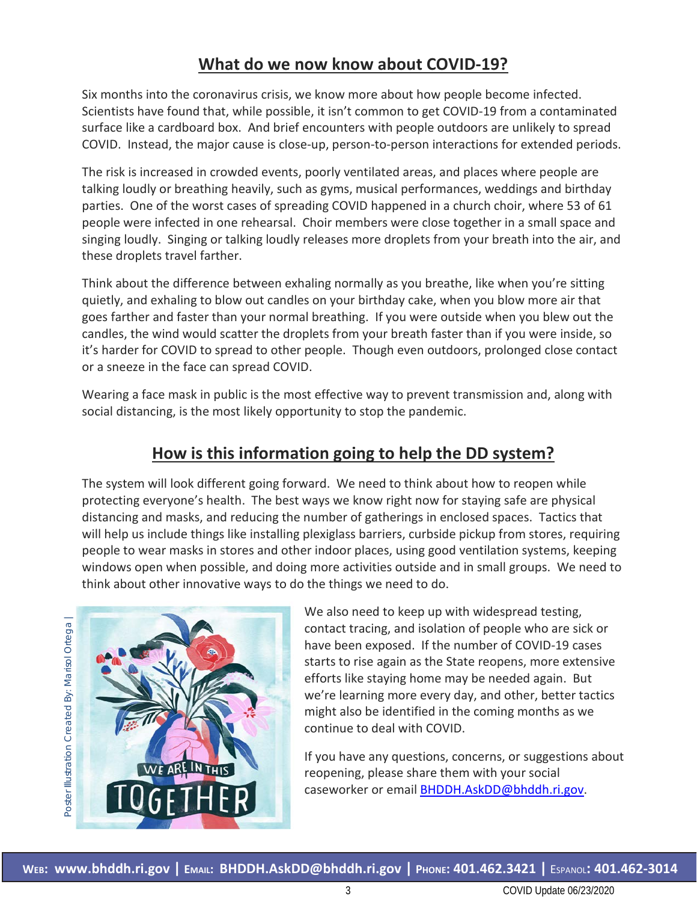# **What do we now know about COVID-19?**

Six months into the coronavirus crisis, we know more about how people become infected. Scientists have found that, while possible, it isn't common to get COVID-19 from a contaminated surface like a cardboard box. And brief encounters with people outdoors are unlikely to spread COVID. Instead, the major cause is close-up, person-to-person interactions for extended periods.

The risk is increased in crowded events, poorly ventilated areas, and places where people are talking loudly or breathing heavily, such as gyms, musical performances, weddings and birthday parties. One of the worst cases of spreading COVID happened in a church choir, where 53 of 61 people were infected in one rehearsal. Choir members were close together in a small space and singing loudly. Singing or talking loudly releases more droplets from your breath into the air, and these droplets travel farther.

Think about the difference between exhaling normally as you breathe, like when you're sitting quietly, and exhaling to blow out candles on your birthday cake, when you blow more air that goes farther and faster than your normal breathing. If you were outside when you blew out the candles, the wind would scatter the droplets from your breath faster than if you were inside, so it's harder for COVID to spread to other people. Though even outdoors, prolonged close contact or a sneeze in the face can spread COVID.

Wearing a face mask in public is the most effective way to prevent transmission and, along with social distancing, is the most likely opportunity to stop the pandemic.

# **How is this information going to help the DD system?**

The system will look different going forward. We need to think about how to [reopen](https://www.wsj.com/articles/coronavirus-this-week-some-places-in-u-s-press-pause-on-reopening-11591999823) while protecting everyone's health. The best ways we know right now for staying safe are physical distancing and masks, and reducing the number of gatherings in enclosed spaces. Tactics that will help us include things like installing plexiglass barriers, curbside pickup from stores, requiring people to wear masks in stores and other indoor places, using good ventilation systems, keeping windows open when possible, and doing more activities outside and in small groups. We need to think about other innovative ways to do the things we need to do.



We also need to keep up with widespread testing, contact tracing, and isolation of people who are sick or have been exposed. If the number of COVID-19 cases starts to rise again as the State reopens, more extensive efforts like staying home may be needed again. But we're learning more every day, and other, better tactics might also be identified in the coming months as we continue to deal with COVID.

If you have any questions, concerns, or suggestions about reopening, please share them with your social caseworker or email [BHDDH.AskDD@bhddh.ri.gov.](mailto:BHDDH.AskDD@bhddh.ri.gov)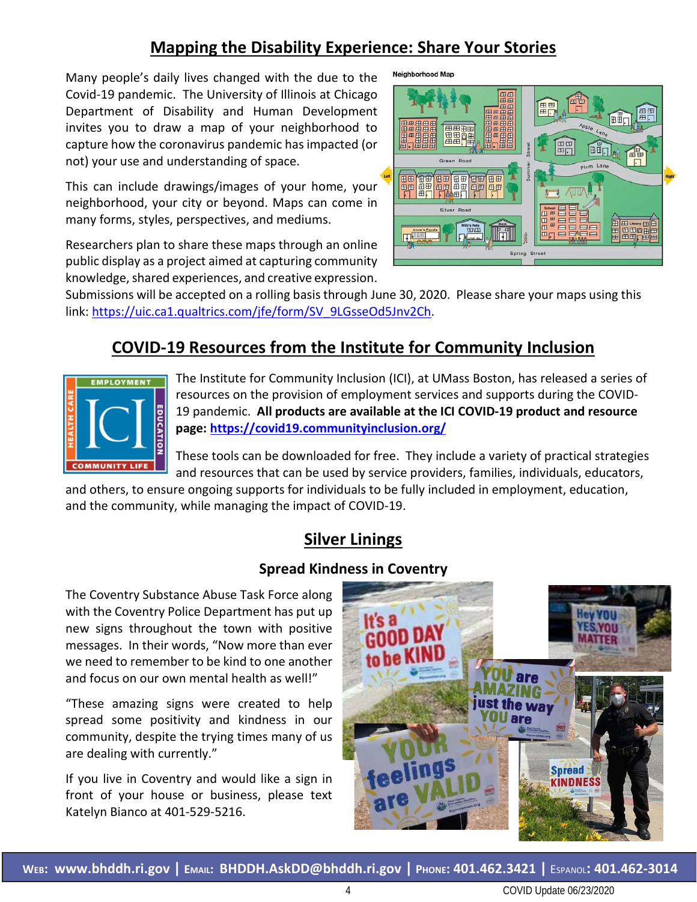# **Mapping the Disability Experience: Share Your Stories**

Neighborhood Map

Many people's daily lives changed with the due to the Covid-19 pandemic. The University of Illinois at Chicago Department of Disability and Human Development invites you to draw a map of your neighborhood to capture how the coronavirus pandemic has impacted (or not) your use and understanding of space.

This can include drawings/images of your home, your neighborhood, your city or beyond. Maps can come in many forms, styles, perspectives, and mediums.

Researchers plan to share these maps through an online public display as a project aimed at capturing community knowledge, shared experiences, and creative expression.



Submissions will be accepted on a rolling basis through June 30, 2020. Please share your maps using this link: [https://uic.ca1.qualtrics.com/jfe/form/SV\\_9LGsseOd5Jnv2Ch.](https://uic.ca1.qualtrics.com/jfe/form/SV_9LGsseOd5Jnv2Ch)

# **COVID-19 Resources from the Institute for Community Inclusion**



The Institute for Community Inclusion (ICI), at UMass Boston, has released a series of resources on the provision of employment services and supports during the COVID-19 pandemic. **All products are available at the ICI COVID-19 product and resource page:<https://covid19.communityinclusion.org/>**

These tools can be downloaded for free. They include a variety of practical strategies and resources that can be used by service providers, families, individuals, educators,

and others, to ensure ongoing supports for individuals to be fully included in employment, education, and the community, while managing the impact of COVID-19.

# **Silver Linings**

#### **Spread Kindness in Coventry**

The Coventry Substance Abuse Task Force along with the Coventry Police Department has put up new signs throughout the town with positive messages. In their words, "Now more than ever we need to remember to be kind to one another and focus on our own mental health as well!"

"These amazing signs were created to help spread some positivity and kindness in our community, despite the trying times many of us are dealing with currently."

If you live in Coventry and would like a sign in front of your house or business, please text Katelyn Bianco at 401-529-5216.

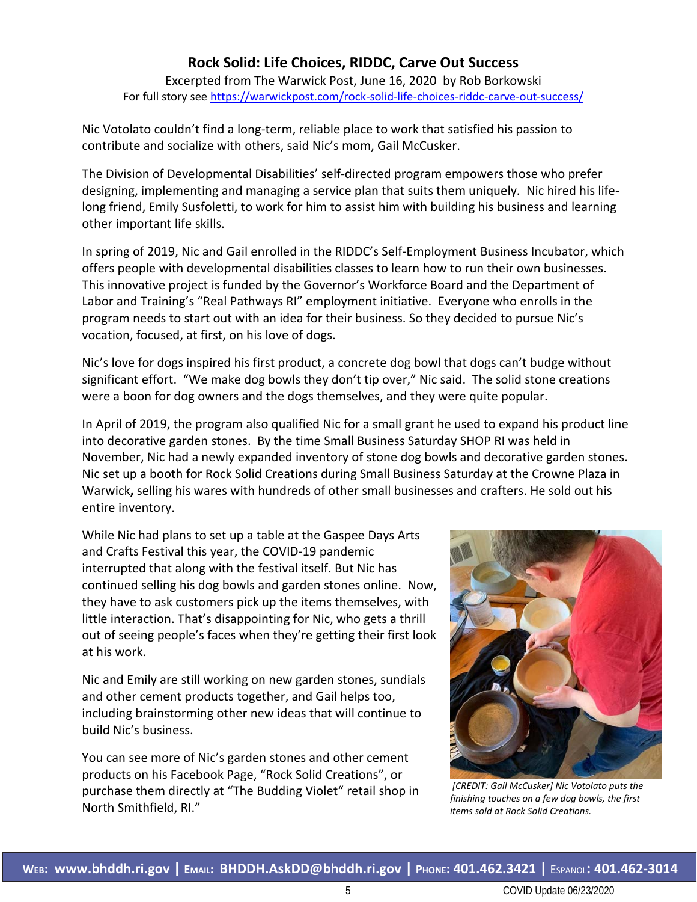#### **Rock Solid: Life Choices, RIDDC, Carve Out Success**

Excerpted from The Warwick Post, June 16, 2020 by Rob Borkowski For full story see<https://warwickpost.com/rock-solid-life-choices-riddc-carve-out-success/>

Nic Votolato couldn't find a long-term, reliable place to work that satisfied his passion to contribute and socialize with others, said Nic's mom, Gail McCusker.

The Division of Developmental Disabilities' self-directed program empowers those who prefer designing, implementing and managing a service plan that suits them uniquely. Nic hired his lifelong friend, Emily Susfoletti, to work for him to assist him with building his business and learning other important life skills.

In spring of 2019, Nic and Gail enrolled in the RIDDC's Self-Employment Business Incubator, which offers people with developmental disabilities classes to learn how to run their own businesses. This innovative project is funded by the Governor's Workforce Board and the Department of Labor and Training's "Real Pathways RI" employment initiative. Everyone who enrolls in the program needs to start out with an idea for their business. So they decided to pursue Nic's vocation, focused, at first, on his love of dogs.

Nic's love for dogs inspired his first product, a concrete dog bowl that dogs can't budge without significant effort. "We make dog bowls they don't tip over," Nic said. The solid stone creations were a boon for dog owners and the dogs themselves, and they were quite popular.

In April of 2019, the program also qualified Nic for a small grant he used to expand his product line into decorative garden stones. By the time Small Business Saturday SHOP RI was held in November, Nic had a newly expanded inventory of stone dog bowls and decorative garden stones. Nic set up a booth for Rock Solid Creations during [Small Business Saturday at the Crowne Plaza in](https://warwickpost.com/warwick-sees-big-turnout-for-small-business-saturday/)  [Warwick](https://warwickpost.com/warwick-sees-big-turnout-for-small-business-saturday/)**,** selling his wares with hundreds of other small businesses and crafters. He sold out his entire inventory.

While Nic had plans to set up a table at the Gaspee Days Arts and Crafts Festival this year, the COVID-19 pandemic interrupted that along with the festival itself. But Nic has continued selling his dog bowls and garden stones online. Now, they have to ask customers pick up the items themselves, with little interaction. That's disappointing for Nic, who gets a thrill out of seeing people's faces when they're getting their first look at his work.

Nic and Emily are still working on new garden stones, sundials and other cement products together, and Gail helps too, including brainstorming other new ideas that will continue to build Nic's business.

You can see more of Nic's garden stones and other cement products on his Facebook Page, "Rock Solid Creations", or purchase them directly at "The Budding Violet" retail shop in North Smithfield, RI."



*[CREDIT: Gail McCusker] Nic Votolato puts the finishing touches on a few dog bowls, the first items sold at Rock Solid Creations.*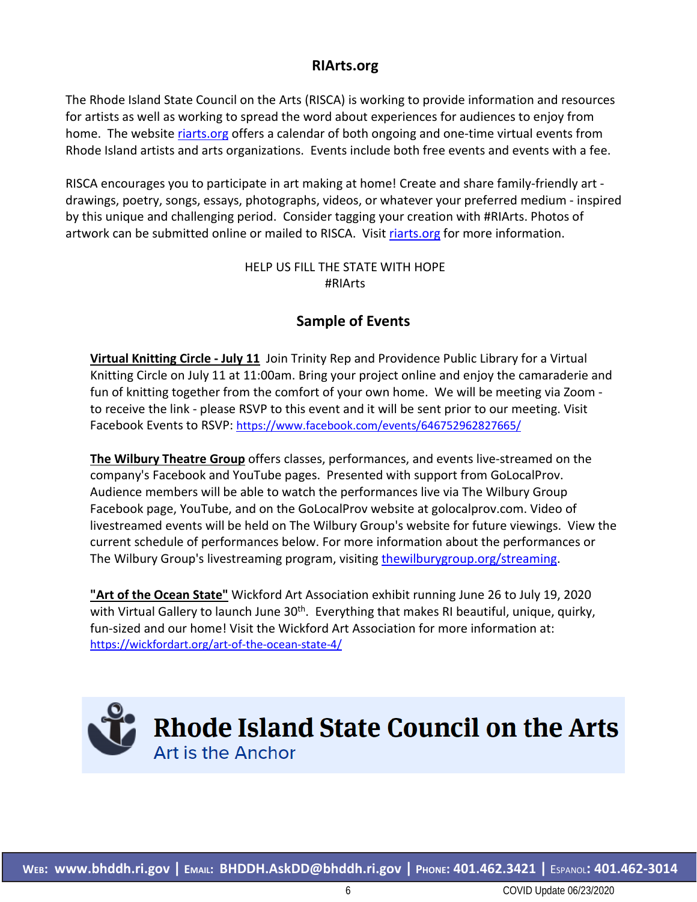#### **RIArts.org**

The Rhode Island State Council on the Arts (RISCA) is working to provide information and resources for artists as well as working to spread the word about experiences for audiences to enjoy from home. The website [riarts.org](file://BHDDH-FS-01/DD/HOME/anne.leclerc/Documents/COVID/Public%20Information/Bulletins/riarts.org) offers a calendar of both ongoing and one-time virtual events from Rhode Island artists and arts organizations. Events include both free events and events with a fee.

RISCA encourages you to participate in art making at home! Create and share family-friendly art drawings, poetry, songs, essays, photographs, videos, or whatever your preferred medium - inspired by this unique and challenging period. Consider tagging your creation with #RIArts. Photos of artwork can be submitted online or mailed to RISCA. Visit [riarts.org](file://Bhddh-fs-01/dd/HOME/anne.leclerc/Documents/COVID/Public%20Information/Bulletins/riarts.org) for more information.

#### HELP US FILL THE STATE WITH HOPE #RIArts

### **Sample of Events**

**Virtual Knitting Circle - July 11** Join Trinity Rep and Providence Public Library for a Virtual Knitting Circle on July 11 at 11:00am. Bring your project online and enjoy the camaraderie and fun of knitting together from the comfort of your own home. We will be meeting via Zoom to receive the link - please RSVP to this event and it will be sent prior to our meeting. Visit Facebook Events to RSVP:<https://www.facebook.com/events/646752962827665/>

**The Wilbury Theatre Group** offers classes, performances, and events live-streamed on the company's Facebook and YouTube pages. Presented with support from GoLocalProv. Audience members will be able to watch the performances live via The Wilbury Group Facebook page, YouTube, and on the GoLocalProv website at golocalprov.com. Video of livestreamed events will be held on The Wilbury Group's website for future viewings. View the current schedule of performances below. For more information about the performances or The Wilbury Group's livestreaming program, visiting [thewilburygroup.org/streaming.](file://BHDDH-FS-01/DD/HOME/anne.leclerc/Documents/COVID/Public%20Information/Bulletins/thewilburygroup.org/streaming)

**"Art of the Ocean State"** Wickford Art Association exhibit running June 26 to July 19, 2020 with Virtual Gallery to launch June  $30<sup>th</sup>$ . Everything that makes RI beautiful, unique, quirky, fun-sized and our home! Visit the Wickford Art Association for more information at: <https://wickfordart.org/art-of-the-ocean-state-4/>

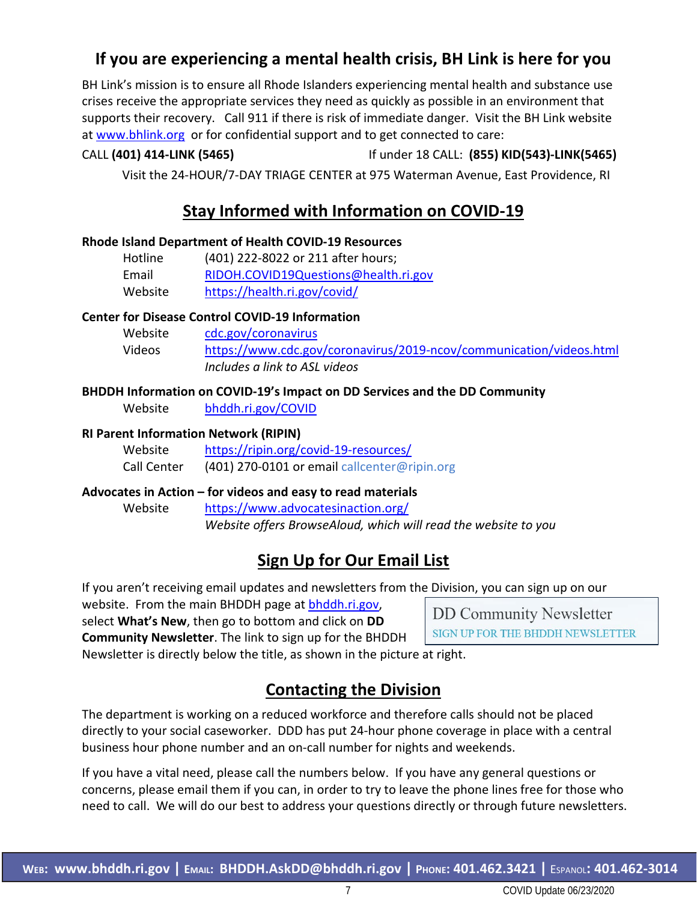# **If you are experiencing a mental health crisis, BH Link is here for you**

BH Link's mission is to ensure all Rhode Islanders experiencing mental health and substance use crises receive the appropriate services they need as quickly as possible in an environment that supports their recovery. Call 911 if there is risk of immediate danger. Visit the BH Link website at [www.bhlink.org](http://www.bhlink.org/) or for confidential support and to get connected to care:

#### CALL **(401) 414-LINK (5465)** If under 18 CALL: **(855) KID(543)-LINK(5465)**

Visit the 24-HOUR/7-DAY TRIAGE CENTER at 975 Waterman Avenue, East Providence, RI

## **Stay Informed with Information on COVID-19**

#### **Rhode Island Department of Health COVID-19 Resources**

| Hotline | (401) 222-8022 or 211 after hours;   |
|---------|--------------------------------------|
| Email   | RIDOH.COVID19Questions@health.ri.gov |
| Website | https://health.ri.gov/covid/         |

#### **Center for Disease Control COVID-19 Information**

| Website | cdc.gov/coronavirus                                                 |
|---------|---------------------------------------------------------------------|
| Videos  | https://www.cdc.gov/coronavirus/2019-ncov/communication/videos.html |
|         | Includes a link to ASL videos                                       |

#### **BHDDH Information on COVID-19's Impact on DD Services and the DD Community**

Website [bhddh.ri.gov/COVID](http://www.bhddh.ri.gov/COVID) 

#### **RI Parent Information Network (RIPIN)**

| Website     | https://ripin.org/covid-19-resources/        |
|-------------|----------------------------------------------|
| Call Center | (401) 270-0101 or email callcenter@ripin.org |

#### **Advocates in Action – for videos and easy to read materials**

Website <https://www.advocatesinaction.org/> *Website offers BrowseAloud, which will read the website to you*

# **Sign Up for Our Email List**

If you aren't receiving email updates and newsletters from the Division, you can sign up on our

website. From the main BHDDH page at [bhddh.ri.gov,](http://www.bhddh.ri.gov/) select **What's New**, then go to bottom and click on **DD Community Newsletter**. The link to sign up for the BHDDH

**DD Community Newsletter** SIGN UP FOR THE BHDDH NEWSLETTER

Newsletter is directly below the title, as shown in the picture at right.

# **Contacting the Division**

The department is working on a reduced workforce and therefore calls should not be placed directly to your social caseworker. DDD has put 24-hour phone coverage in place with a central business hour phone number and an on-call number for nights and weekends.

If you have a vital need, please call the numbers below. If you have any general questions or concerns, please email them if you can, in order to try to leave the phone lines free for those who need to call. We will do our best to address your questions directly or through future newsletters.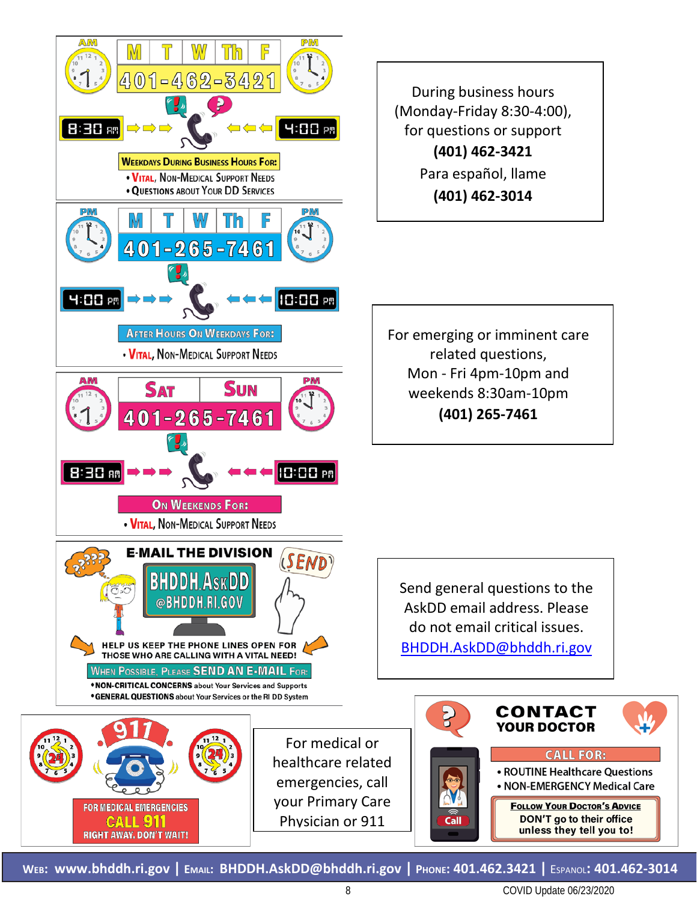

**WEB: [www.bhddh.ri.gov](http://www.bhddh.ri.gov/) | EMAIL: [BHDDH.AskDD@bhddh.ri.gov](mailto:BHDDH.AskDD@bhddh.ri.gov) | PHONE: 401.462.3421 |** ESPANOL**: 401.462-3014**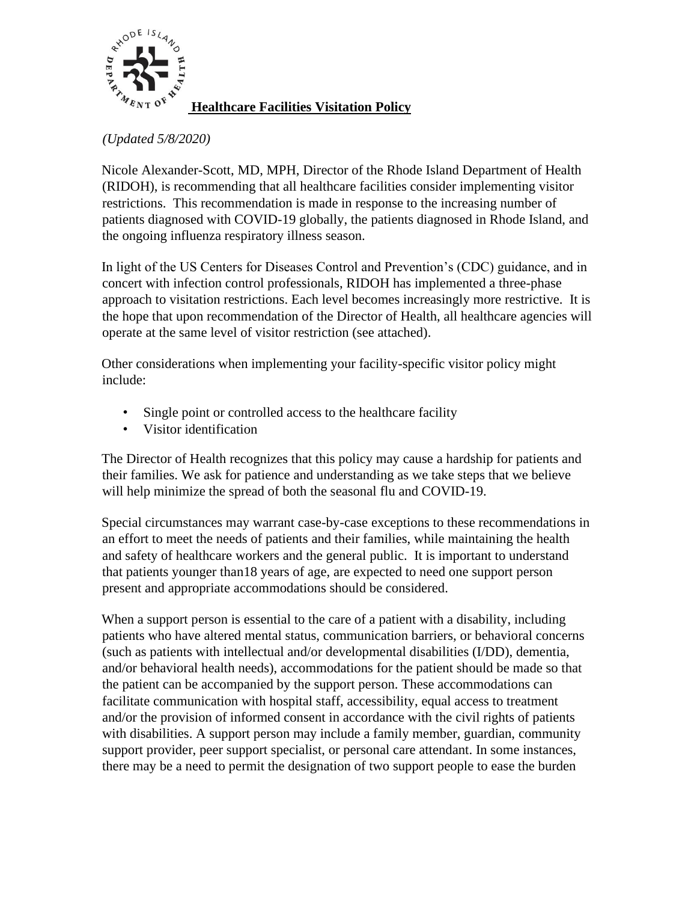

**Healthcare Facilities Visitation Policy**

*(Updated 5/8/2020)*

Nicole Alexander-Scott, MD, MPH, Director of the Rhode Island Department of Health (RIDOH), is recommending that all healthcare facilities consider implementing visitor restrictions. This recommendation is made in response to the increasing number of patients diagnosed with COVID-19 globally, the patients diagnosed in Rhode Island, and the ongoing influenza respiratory illness season.

In light of the US Centers for Diseases Control and Prevention's (CDC) guidance, and in concert with infection control professionals, RIDOH has implemented a three-phase approach to visitation restrictions. Each level becomes increasingly more restrictive. It is the hope that upon recommendation of the Director of Health, all healthcare agencies will operate at the same level of visitor restriction (see attached).

Other considerations when implementing your facility-specific visitor policy might include:

- Single point or controlled access to the healthcare facility
- Visitor identification

The Director of Health recognizes that this policy may cause a hardship for patients and their families. We ask for patience and understanding as we take steps that we believe will help minimize the spread of both the seasonal flu and COVID-19.

Special circumstances may warrant case-by-case exceptions to these recommendations in an effort to meet the needs of patients and their families, while maintaining the health and safety of healthcare workers and the general public. It is important to understand that patients younger than18 years of age, are expected to need one support person present and appropriate accommodations should be considered.

When a support person is essential to the care of a patient with a disability, including patients who have altered mental status, communication barriers, or behavioral concerns (such as patients with intellectual and/or developmental disabilities (I/DD), dementia, and/or behavioral health needs), accommodations for the patient should be made so that the patient can be accompanied by the support person. These accommodations can facilitate communication with hospital staff, accessibility, equal access to treatment and/or the provision of informed consent in accordance with the civil rights of patients with disabilities. A support person may include a family member, guardian, community support provider, peer support specialist, or personal care attendant. In some instances, there may be a need to permit the designation of two support people to ease the burden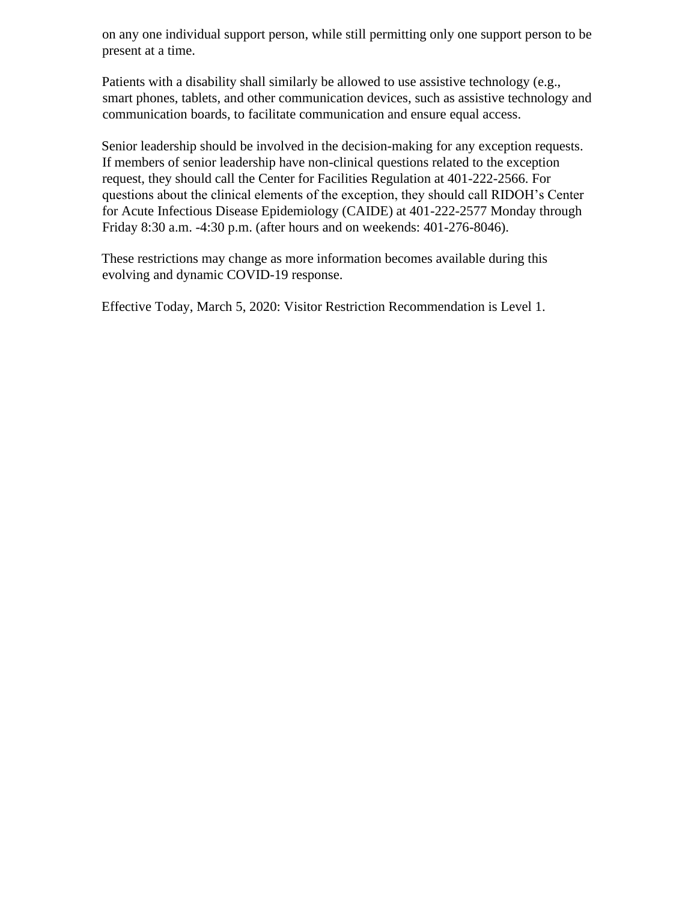on any one individual support person, while still permitting only one support person to be present at a time.

Patients with a disability shall similarly be allowed to use assistive technology (e.g., smart phones, tablets, and other communication devices, such as assistive technology and communication boards, to facilitate communication and ensure equal access.

Senior leadership should be involved in the decision-making for any exception requests. If members of senior leadership have non-clinical questions related to the exception request, they should call the Center for Facilities Regulation at 401-222-2566. For questions about the clinical elements of the exception, they should call RIDOH's Center for Acute Infectious Disease Epidemiology (CAIDE) at 401-222-2577 Monday through Friday 8:30 a.m. -4:30 p.m. (after hours and on weekends: 401-276-8046).

These restrictions may change as more information becomes available during this evolving and dynamic COVID-19 response.

Effective Today, March 5, 2020: Visitor Restriction Recommendation is Level 1.